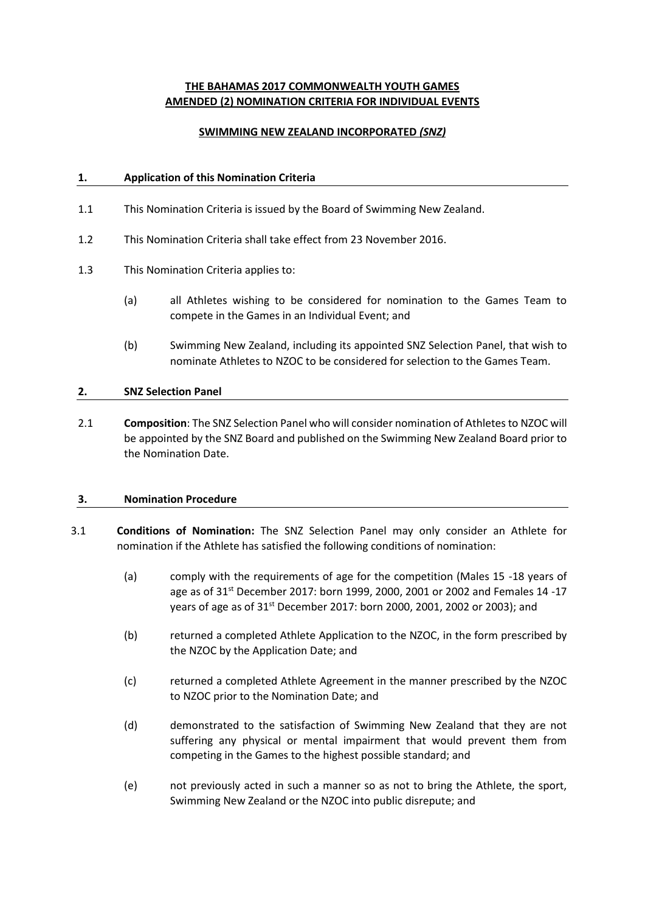# **THE BAHAMAS 2017 COMMONWEALTH YOUTH GAMES AMENDED (2) NOMINATION CRITERIA FOR INDIVIDUAL EVENTS**

## **SWIMMING NEW ZEALAND INCORPORATED** *(SNZ)*

## **1. Application of this Nomination Criteria**

- 1.1 This Nomination Criteria is issued by the Board of Swimming New Zealand.
- 1.2 This Nomination Criteria shall take effect from 23 November 2016.
- 1.3 This Nomination Criteria applies to:
	- (a) all Athletes wishing to be considered for nomination to the Games Team to compete in the Games in an Individual Event; and
	- (b) Swimming New Zealand, including its appointed SNZ Selection Panel, that wish to nominate Athletes to NZOC to be considered for selection to the Games Team.

#### **2. SNZ Selection Panel**

2.1 **Composition**: The SNZ Selection Panel who will consider nomination of Athletes to NZOC will be appointed by the SNZ Board and published on the Swimming New Zealand Board prior to the Nomination Date.

#### **3. Nomination Procedure**

- 3.1 **Conditions of Nomination:** The SNZ Selection Panel may only consider an Athlete for nomination if the Athlete has satisfied the following conditions of nomination:
	- (a) comply with the requirements of age for the competition (Males 15 -18 years of age as of 31<sup>st</sup> December 2017: born 1999, 2000, 2001 or 2002 and Females 14 -17 years of age as of 31<sup>st</sup> December 2017: born 2000, 2001, 2002 or 2003); and
	- (b) returned a completed Athlete Application to the NZOC, in the form prescribed by the NZOC by the Application Date; and
	- (c) returned a completed Athlete Agreement in the manner prescribed by the NZOC to NZOC prior to the Nomination Date; and
	- (d) demonstrated to the satisfaction of Swimming New Zealand that they are not suffering any physical or mental impairment that would prevent them from competing in the Games to the highest possible standard; and
	- (e) not previously acted in such a manner so as not to bring the Athlete, the sport, Swimming New Zealand or the NZOC into public disrepute; and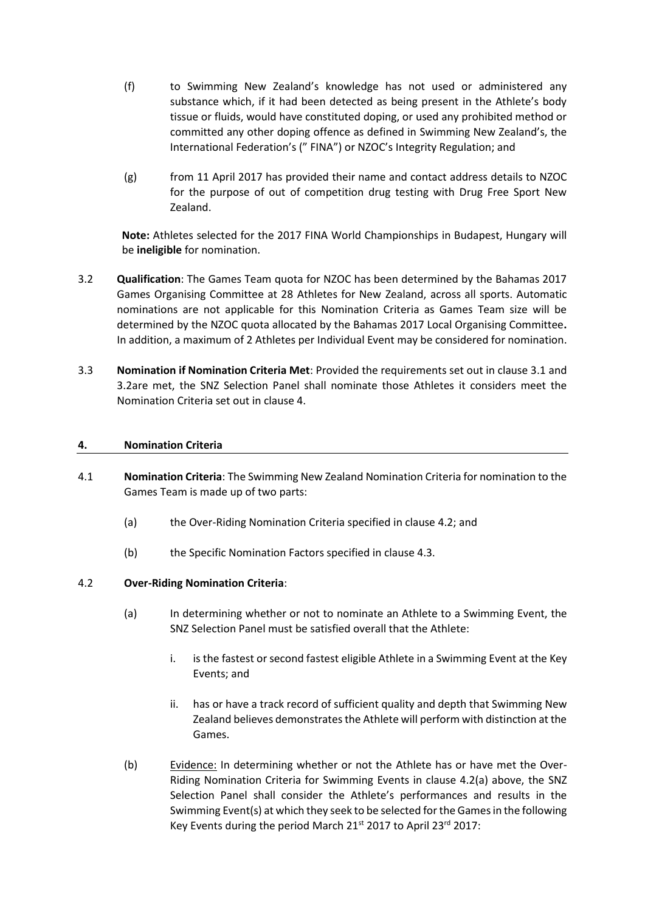- (f) to Swimming New Zealand's knowledge has not used or administered any substance which, if it had been detected as being present in the Athlete's body tissue or fluids, would have constituted doping, or used any prohibited method or committed any other doping offence as defined in Swimming New Zealand's, the International Federation's (" FINA") or NZOC's Integrity Regulation; and
- (g) from 11 April 2017 has provided their name and contact address details to NZOC for the purpose of out of competition drug testing with Drug Free Sport New Zealand.

**Note:** Athletes selected for the 2017 FINA World Championships in Budapest, Hungary will be **ineligible** for nomination.

- 3.2 **Qualification**: The Games Team quota for NZOC has been determined by the Bahamas 2017 Games Organising Committee at 28 Athletes for New Zealand, across all sports. Automatic nominations are not applicable for this Nomination Criteria as Games Team size will be determined by the NZOC quota allocated by the Bahamas 2017 Local Organising Committee**.**  In addition, a maximum of 2 Athletes per Individual Event may be considered for nomination.
- 3.3 **Nomination if Nomination Criteria Met**: Provided the requirements set out in clause 3.1 and 3.2are met, the SNZ Selection Panel shall nominate those Athletes it considers meet the Nomination Criteria set out in clause 4.

#### **4. Nomination Criteria**

- 4.1 **Nomination Criteria**: The Swimming New Zealand Nomination Criteria for nomination to the Games Team is made up of two parts:
	- (a) the Over-Riding Nomination Criteria specified in clause [4.2;](#page-1-0) and
	- (b) the Specific Nomination Factors specified in clause 4.3.

#### <span id="page-1-0"></span>4.2 **Over-Riding Nomination Criteria**:

- (a) In determining whether or not to nominate an Athlete to a Swimming Event, the SNZ Selection Panel must be satisfied overall that the Athlete:
	- i. is the fastest or second fastest eligible Athlete in a Swimming Event at the Key Events; and
	- ii. has or have a track record of sufficient quality and depth that Swimming New Zealand believes demonstrates the Athlete will perform with distinction at the Games.
- (b) Evidence: In determining whether or not the Athlete has or have met the Over-Riding Nomination Criteria for Swimming Events in clause 4.2(a) above, the SNZ Selection Panel shall consider the Athlete's performances and results in the Swimming Event(s) at which they seek to be selected for the Games in the following Key Events during the period March  $21^{st}$  2017 to April 23 $^{rd}$  2017: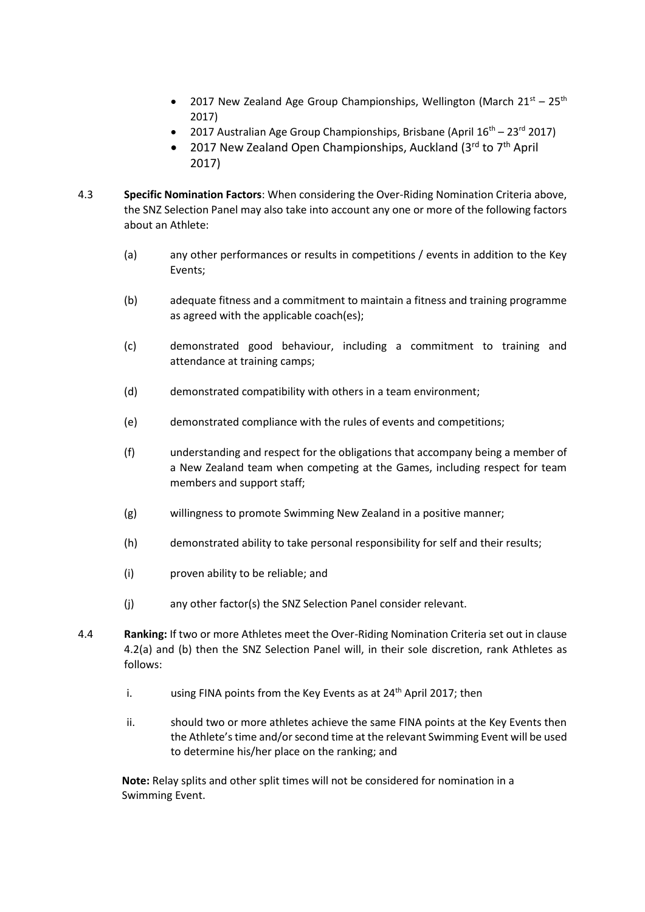- 2017 New Zealand Age Group Championships, Wellington (March  $21^{st}$   $25^{th}$ ) 2017)
- 2017 Australian Age Group Championships, Brisbane (April  $16^{th}$  23<sup>rd</sup> 2017)
- 2017 New Zealand Open Championships, Auckland (3<sup>rd</sup> to  $7<sup>th</sup>$  April 2017)
- 4.3 **Specific Nomination Factors**: When considering the Over-Riding Nomination Criteria above, the SNZ Selection Panel may also take into account any one or more of the following factors about an Athlete:
	- (a) any other performances or results in competitions / events in addition to the Key Events;
	- (b) adequate fitness and a commitment to maintain a fitness and training programme as agreed with the applicable coach(es);
	- (c) demonstrated good behaviour, including a commitment to training and attendance at training camps;
	- (d) demonstrated compatibility with others in a team environment;
	- (e) demonstrated compliance with the rules of events and competitions;
	- (f) understanding and respect for the obligations that accompany being a member of a New Zealand team when competing at the Games, including respect for team members and support staff;
	- (g) willingness to promote Swimming New Zealand in a positive manner;
	- (h) demonstrated ability to take personal responsibility for self and their results;
	- (i) proven ability to be reliable; and
	- (j) any other factor(s) the SNZ Selection Panel consider relevant.
- 4.4 **Ranking:** If two or more Athletes meet the Over-Riding Nomination Criteria set out in clause 4.2(a) and (b) then the SNZ Selection Panel will, in their sole discretion, rank Athletes as follows:
	- i. using FINA points from the Key Events as at  $24<sup>th</sup>$  April 2017; then
	- ii. should two or more athletes achieve the same FINA points at the Key Events then the Athlete's time and/or second time at the relevant Swimming Event will be used to determine his/her place on the ranking; and

**Note:** Relay splits and other split times will not be considered for nomination in a Swimming Event.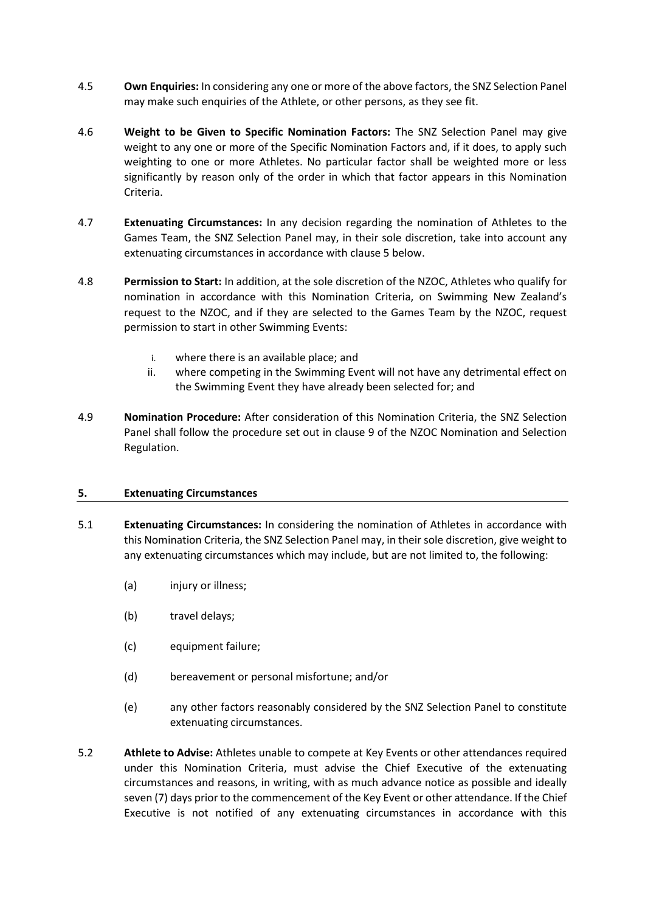- 4.5 **Own Enquiries:** In considering any one or more of the above factors, the SNZ Selection Panel may make such enquiries of the Athlete, or other persons, as they see fit.
- 4.6 **Weight to be Given to Specific Nomination Factors:** The SNZ Selection Panel may give weight to any one or more of the Specific Nomination Factors and, if it does, to apply such weighting to one or more Athletes. No particular factor shall be weighted more or less significantly by reason only of the order in which that factor appears in this Nomination Criteria.
- 4.7 **Extenuating Circumstances:** In any decision regarding the nomination of Athletes to the Games Team, the SNZ Selection Panel may, in their sole discretion, take into account any extenuating circumstances in accordance with clause [5](#page-3-0) below.
- 4.8 **Permission to Start:** In addition, at the sole discretion of the NZOC, Athletes who qualify for nomination in accordance with this Nomination Criteria, on Swimming New Zealand's request to the NZOC, and if they are selected to the Games Team by the NZOC, request permission to start in other Swimming Events:
	- i. where there is an available place; and
	- ii. where competing in the Swimming Event will not have any detrimental effect on the Swimming Event they have already been selected for; and
- 4.9 **Nomination Procedure:** After consideration of this Nomination Criteria, the SNZ Selection Panel shall follow the procedure set out in clause 9 of the NZOC Nomination and Selection Regulation.

#### <span id="page-3-0"></span>**5. Extenuating Circumstances**

- 5.1 **Extenuating Circumstances:** In considering the nomination of Athletes in accordance with this Nomination Criteria, the SNZ Selection Panel may, in their sole discretion, give weight to any extenuating circumstances which may include, but are not limited to, the following:
	- (a) injury or illness;
	- (b) travel delays;
	- (c) equipment failure;
	- (d) bereavement or personal misfortune; and/or
	- (e) any other factors reasonably considered by the SNZ Selection Panel to constitute extenuating circumstances.
- 5.2 **Athlete to Advise:** Athletes unable to compete at Key Events or other attendances required under this Nomination Criteria, must advise the Chief Executive of the extenuating circumstances and reasons, in writing, with as much advance notice as possible and ideally seven (7) days prior to the commencement of the Key Event or other attendance. If the Chief Executive is not notified of any extenuating circumstances in accordance with this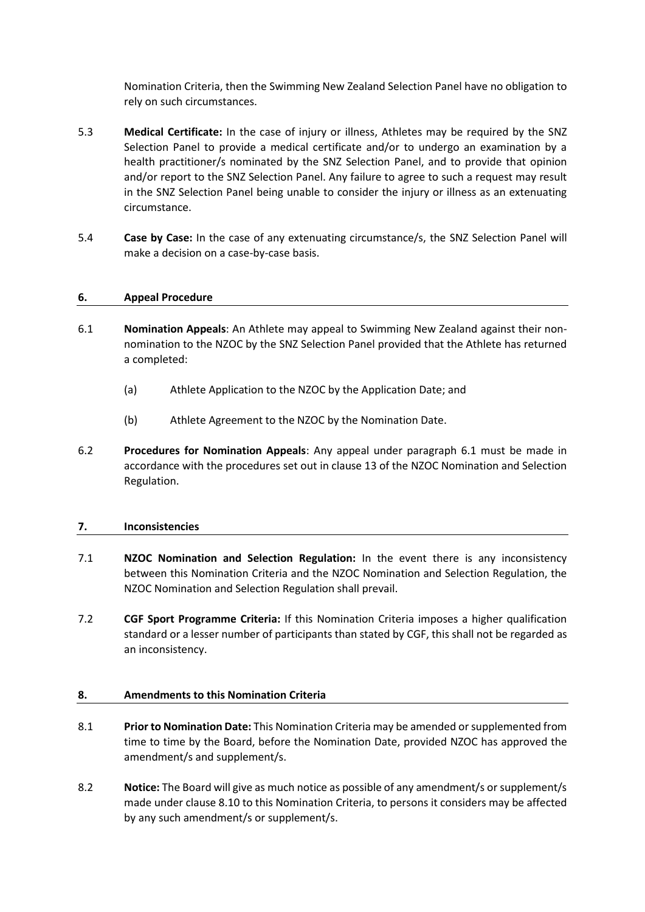Nomination Criteria, then the Swimming New Zealand Selection Panel have no obligation to rely on such circumstances.

- 5.3 **Medical Certificate:** In the case of injury or illness, Athletes may be required by the SNZ Selection Panel to provide a medical certificate and/or to undergo an examination by a health practitioner/s nominated by the SNZ Selection Panel, and to provide that opinion and/or report to the SNZ Selection Panel. Any failure to agree to such a request may result in the SNZ Selection Panel being unable to consider the injury or illness as an extenuating circumstance.
- 5.4 **Case by Case:** In the case of any extenuating circumstance/s, the SNZ Selection Panel will make a decision on a case-by-case basis.

#### **6. Appeal Procedure**

- 6.1 **Nomination Appeals**: An Athlete may appeal to Swimming New Zealand against their nonnomination to the NZOC by the SNZ Selection Panel provided that the Athlete has returned a completed:
	- (a) Athlete Application to the NZOC by the Application Date; and
	- (b) Athlete Agreement to the NZOC by the Nomination Date.
- 6.2 **Procedures for Nomination Appeals**: Any appeal under paragraph 6.1 must be made in accordance with the procedures set out in clause 13 of the NZOC Nomination and Selection Regulation.

#### **7. Inconsistencies**

- 7.1 **NZOC Nomination and Selection Regulation:** In the event there is any inconsistency between this Nomination Criteria and the NZOC Nomination and Selection Regulation, the NZOC Nomination and Selection Regulation shall prevail.
- 7.2 **CGF Sport Programme Criteria:** If this Nomination Criteria imposes a higher qualification standard or a lesser number of participants than stated by CGF, this shall not be regarded as an inconsistency.

## <span id="page-4-0"></span>**8. Amendments to this Nomination Criteria**

- 8.1 **Prior to Nomination Date:** This Nomination Criteria may be amended or supplemented from time to time by the Board, before the Nomination Date, provided NZOC has approved the amendment/s and supplement/s.
- 8.2 **Notice:** The Board will give as much notice as possible of any amendment/s or supplement/s made under clause 8.[10](#page-4-0) to this Nomination Criteria, to persons it considers may be affected by any such amendment/s or supplement/s.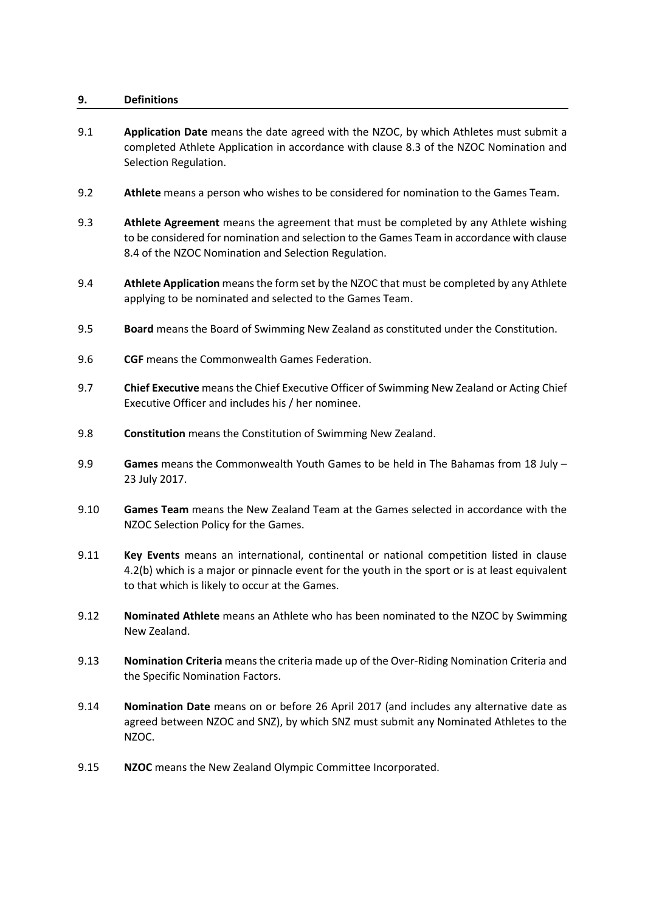#### **9. Definitions**

- 9.1 **Application Date** means the date agreed with the NZOC, by which Athletes must submit a completed Athlete Application in accordance with clause 8.3 of the NZOC Nomination and Selection Regulation.
- 9.2 **Athlete** means a person who wishes to be considered for nomination to the Games Team.
- 9.3 **Athlete Agreement** means the agreement that must be completed by any Athlete wishing to be considered for nomination and selection to the Games Team in accordance with clause 8.4 of the NZOC Nomination and Selection Regulation.
- 9.4 **Athlete Application** means the form set by the NZOC that must be completed by any Athlete applying to be nominated and selected to the Games Team.
- 9.5 **Board** means the Board of Swimming New Zealand as constituted under the Constitution.
- 9.6 **CGF** means the Commonwealth Games Federation.
- 9.7 **Chief Executive** means the Chief Executive Officer of Swimming New Zealand or Acting Chief Executive Officer and includes his / her nominee.
- 9.8 **Constitution** means the Constitution of Swimming New Zealand.
- 9.9 **Games** means the Commonwealth Youth Games to be held in The Bahamas from 18 July 23 July 2017.
- 9.10 **Games Team** means the New Zealand Team at the Games selected in accordance with the NZOC Selection Policy for the Games.
- 9.11 **Key Events** means an international, continental or national competition listed in clause 4.2(b) which is a major or pinnacle event for the youth in the sport or is at least equivalent to that which is likely to occur at the Games.
- 9.12 **Nominated Athlete** means an Athlete who has been nominated to the NZOC by Swimming New Zealand.
- 9.13 **Nomination Criteria** means the criteria made up of the Over-Riding Nomination Criteria and the Specific Nomination Factors.
- 9.14 **Nomination Date** means on or before 26 April 2017 (and includes any alternative date as agreed between NZOC and SNZ), by which SNZ must submit any Nominated Athletes to the NZOC.
- 9.15 **NZOC** means the New Zealand Olympic Committee Incorporated.